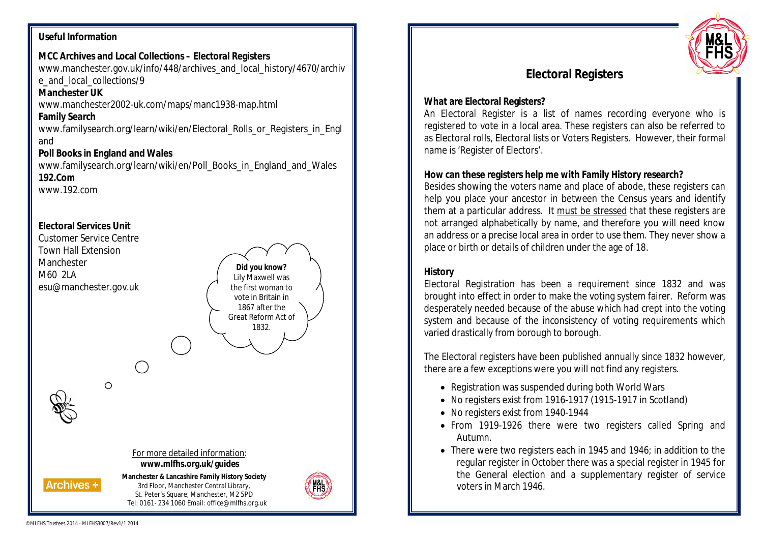#### **Useful Information**

### **MCC Archives and Local Collections – Electoral Registers**

www.manchester.gov.uk/info/448/archives\_and\_local\_history/4670/archiv e\_and\_local\_collections/9

#### **Manchester UK**

www.manchester2002-uk.com/maps/manc1938-map.html

# **Family Search**

www.familysearch.org/learn/wiki/en/Electoral\_Rolls\_or\_Registers\_in\_Engl and

### **Poll Books in England and Wales**

www.familysearch.org/learn/wiki/en/Poll\_Books\_in\_England\_and\_Wales **192.Com**

www.192.com





# **Electoral Registers**

#### **What are Electoral Registers?**

An Electoral Register is a list of names recording everyone who is registered to vote in a local area. These registers can also be referred to as Electoral rolls, Electoral lists or Voters Registers. However, their formal name is 'Register of Electors'.

# **How can these registers help me with Family History research?**

Besides showing the voters name and place of abode, these registers can help you place your ancestor in between the Census years and identify them at a particular address. It must be stressed that these registers are not arranged alphabetically by name, and therefore you will need know an address or a precise local area in order to use them. They never show a place or birth or details of children under the age of 18.

# **History**

Electoral Registration has been a requirement since 1832 and was brought into effect in order to make the voting system fairer. Reform was desperately needed because of the abuse which had crept into the voting system and because of the inconsistency of voting requirements which varied drastically from borough to borough.

The Electoral registers have been published annually since 1832 however, there are a few exceptions were you will not find any registers.

- Registration was suspended during both World Wars
- No registers exist from 1916-1917 (1915-1917 in Scotland)
- No registers exist from 1940-1944
- From 1919-1926 there were two registers called *Spring* and *Autumn.*
- There were two registers each in 1945 and 1946; in addition to the regular register in October there was a special register in 1945 for the General election and a supplementary register of service voters in March 1946.